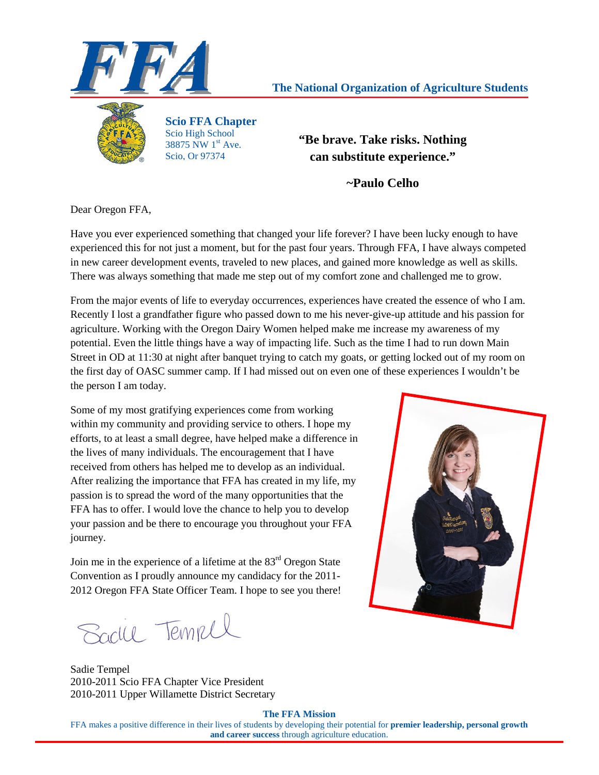

# **The National Organization of Agriculture Students**



**Scio FFA Chapter**  Scio High School 38875 NW  $1^{\rm st}$  Ave. Scio, Or 97374

**"Be brave. Take risks. Nothing can substitute experience."** 

**~Paulo Celho** 

Dear Oregon FFA,

Have you ever experienced something that changed your life forever? I have been lucky enough to have experienced this for not just a moment, but for the past four years. Through FFA, I have always competed in new career development events, traveled to new places, and gained more knowledge as well as skills. There was always something that made me step out of my comfort zone and challenged me to grow.

From the major events of life to everyday occurrences, experiences have created the essence of who I am. Recently I lost a grandfather figure who passed down to me his never-give-up attitude and his passion for agriculture. Working with the Oregon Dairy Women helped make me increase my awareness of my potential. Even the little things have a way of impacting life. Such as the time I had to run down Main Street in OD at 11:30 at night after banquet trying to catch my goats, or getting locked out of my room on the first day of OASC summer camp. If I had missed out on even one of these experiences I wouldn't be the person I am today.

Some of my most gratifying experiences come from working within my community and providing service to others. I hope my efforts, to at least a small degree, have helped make a difference in the lives of many individuals. The encouragement that I have received from others has helped me to develop as an individual. After realizing the importance that FFA has created in my life, my passion is to spread the word of the many opportunities that the FFA has to offer. I would love the chance to help you to develop your passion and be there to encourage you throughout your FFA journey.

Join me in the experience of a lifetime at the  $83<sup>rd</sup>$  Oregon State Convention as I proudly announce my candidacy for the 2011- 2012 Oregon FFA State Officer Team. I hope to see you there!

Saclie Tempel

Sadie Tempel 2010-2011 Scio FFA Chapter Vice President 2010-2011 Upper Willamette District Secretary



**The FFA Mission**

FFA makes a positive difference in their lives of students by developing their potential for **premier leadership, personal growth and career success** through agriculture education.